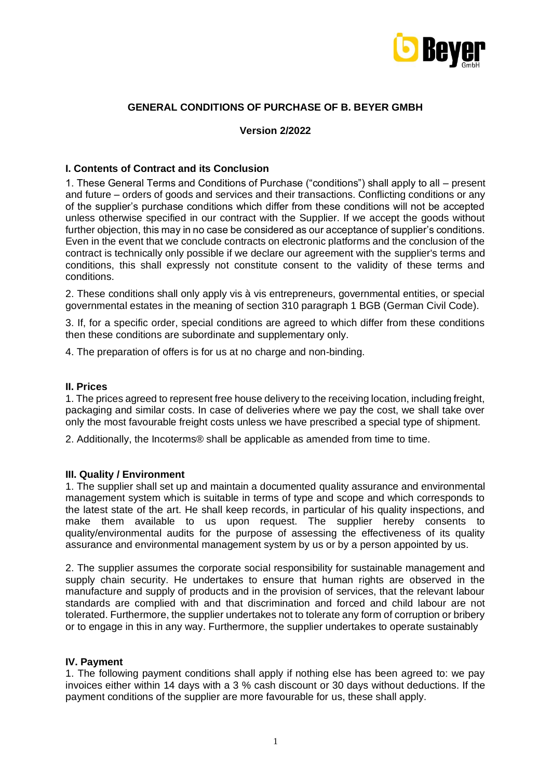

# **GENERAL CONDITIONS OF PURCHASE OF B. BEYER GMBH**

### **Version 2/2022**

## **I. Contents of Contract and its Conclusion**

1. These General Terms and Conditions of Purchase ("conditions") shall apply to all – present and future – orders of goods and services and their transactions. Conflicting conditions or any of the supplier's purchase conditions which differ from these conditions will not be accepted unless otherwise specified in our contract with the Supplier. If we accept the goods without further objection, this may in no case be considered as our acceptance of supplier's conditions. Even in the event that we conclude contracts on electronic platforms and the conclusion of the contract is technically only possible if we declare our agreement with the supplier's terms and conditions, this shall expressly not constitute consent to the validity of these terms and conditions.

2. These conditions shall only apply vis à vis entrepreneurs, governmental entities, or special governmental estates in the meaning of section 310 paragraph 1 BGB (German Civil Code).

3. If, for a specific order, special conditions are agreed to which differ from these conditions then these conditions are subordinate and supplementary only.

4. The preparation of offers is for us at no charge and non-binding.

### **II. Prices**

1. The prices agreed to represent free house delivery to the receiving location, including freight, packaging and similar costs. In case of deliveries where we pay the cost, we shall take over only the most favourable freight costs unless we have prescribed a special type of shipment.

2. Additionally, the Incoterms® shall be applicable as amended from time to time.

## **III. Quality / Environment**

1. The supplier shall set up and maintain a documented quality assurance and environmental management system which is suitable in terms of type and scope and which corresponds to the latest state of the art. He shall keep records, in particular of his quality inspections, and make them available to us upon request. The supplier hereby consents to quality/environmental audits for the purpose of assessing the effectiveness of its quality assurance and environmental management system by us or by a person appointed by us.

2. The supplier assumes the corporate social responsibility for sustainable management and supply chain security. He undertakes to ensure that human rights are observed in the manufacture and supply of products and in the provision of services, that the relevant labour standards are complied with and that discrimination and forced and child labour are not tolerated. Furthermore, the supplier undertakes not to tolerate any form of corruption or bribery or to engage in this in any way. Furthermore, the supplier undertakes to operate sustainably

### **IV. Payment**

1. The following payment conditions shall apply if nothing else has been agreed to: we pay invoices either within 14 days with a 3 % cash discount or 30 days without deductions. If the payment conditions of the supplier are more favourable for us, these shall apply.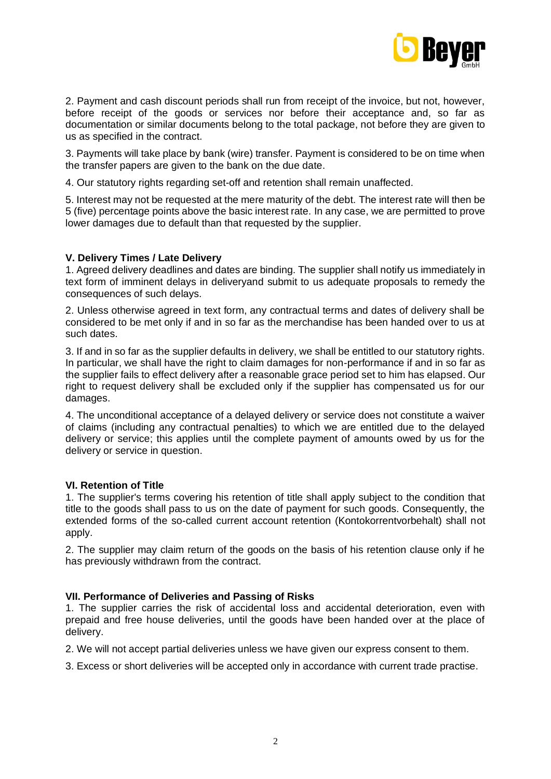

2. Payment and cash discount periods shall run from receipt of the invoice, but not, however, before receipt of the goods or services nor before their acceptance and, so far as documentation or similar documents belong to the total package, not before they are given to us as specified in the contract.

3. Payments will take place by bank (wire) transfer. Payment is considered to be on time when the transfer papers are given to the bank on the due date.

4. Our statutory rights regarding set-off and retention shall remain unaffected.

5. Interest may not be requested at the mere maturity of the debt. The interest rate will then be 5 (five) percentage points above the basic interest rate. In any case, we are permitted to prove lower damages due to default than that requested by the supplier.

## **V. Delivery Times / Late Delivery**

1. Agreed delivery deadlines and dates are binding. The supplier shall notify us immediately in text form of imminent delays in deliveryand submit to us adequate proposals to remedy the consequences of such delays.

2. Unless otherwise agreed in text form, any contractual terms and dates of delivery shall be considered to be met only if and in so far as the merchandise has been handed over to us at such dates.

3. If and in so far as the supplier defaults in delivery, we shall be entitled to our statutory rights. In particular, we shall have the right to claim damages for non-performance if and in so far as the supplier fails to effect delivery after a reasonable grace period set to him has elapsed. Our right to request delivery shall be excluded only if the supplier has compensated us for our damages.

4. The unconditional acceptance of a delayed delivery or service does not constitute a waiver of claims (including any contractual penalties) to which we are entitled due to the delayed delivery or service; this applies until the complete payment of amounts owed by us for the delivery or service in question.

## **VI. Retention of Title**

1. The supplier's terms covering his retention of title shall apply subject to the condition that title to the goods shall pass to us on the date of payment for such goods. Consequently, the extended forms of the so-called current account retention (Kontokorrentvorbehalt) shall not apply.

2. The supplier may claim return of the goods on the basis of his retention clause only if he has previously withdrawn from the contract.

## **VII. Performance of Deliveries and Passing of Risks**

1. The supplier carries the risk of accidental loss and accidental deterioration, even with prepaid and free house deliveries, until the goods have been handed over at the place of delivery.

2. We will not accept partial deliveries unless we have given our express consent to them.

3. Excess or short deliveries will be accepted only in accordance with current trade practise.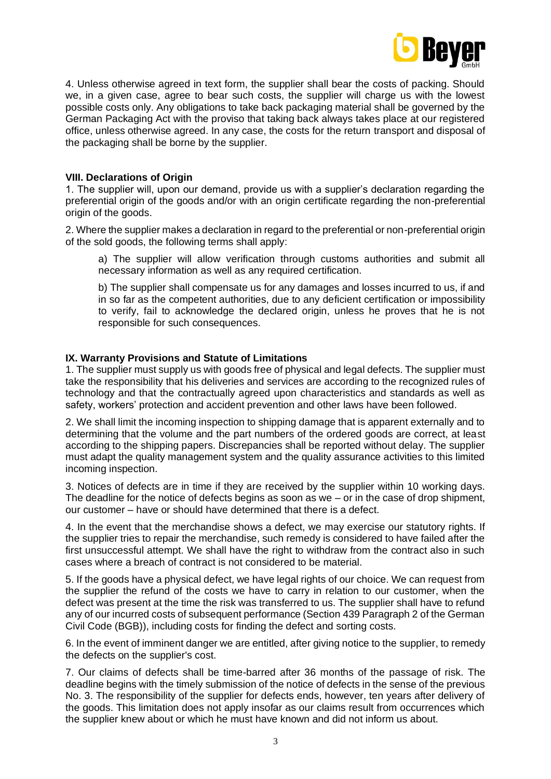

4. Unless otherwise agreed in text form, the supplier shall bear the costs of packing. Should we, in a given case, agree to bear such costs, the supplier will charge us with the lowest possible costs only. Any obligations to take back packaging material shall be governed by the German Packaging Act with the proviso that taking back always takes place at our registered office, unless otherwise agreed. In any case, the costs for the return transport and disposal of the packaging shall be borne by the supplier.

## **VIII. Declarations of Origin**

1. The supplier will, upon our demand, provide us with a supplier's declaration regarding the preferential origin of the goods and/or with an origin certificate regarding the non-preferential origin of the goods.

2. Where the supplier makes a declaration in regard to the preferential or non-preferential origin of the sold goods, the following terms shall apply:

a) The supplier will allow verification through customs authorities and submit all necessary information as well as any required certification.

b) The supplier shall compensate us for any damages and losses incurred to us, if and in so far as the competent authorities, due to any deficient certification or impossibility to verify, fail to acknowledge the declared origin, unless he proves that he is not responsible for such consequences.

## **IX. Warranty Provisions and Statute of Limitations**

1. The supplier must supply us with goods free of physical and legal defects. The supplier must take the responsibility that his deliveries and services are according to the recognized rules of technology and that the contractually agreed upon characteristics and standards as well as safety, workers' protection and accident prevention and other laws have been followed.

2. We shall limit the incoming inspection to shipping damage that is apparent externally and to determining that the volume and the part numbers of the ordered goods are correct, at least according to the shipping papers. Discrepancies shall be reported without delay. The supplier must adapt the quality management system and the quality assurance activities to this limited incoming inspection.

3. Notices of defects are in time if they are received by the supplier within 10 working days. The deadline for the notice of defects begins as soon as we  $-$  or in the case of drop shipment, our customer – have or should have determined that there is a defect.

4. In the event that the merchandise shows a defect, we may exercise our statutory rights. If the supplier tries to repair the merchandise, such remedy is considered to have failed after the first unsuccessful attempt. We shall have the right to withdraw from the contract also in such cases where a breach of contract is not considered to be material.

5. If the goods have a physical defect, we have legal rights of our choice. We can request from the supplier the refund of the costs we have to carry in relation to our customer, when the defect was present at the time the risk was transferred to us. The supplier shall have to refund any of our incurred costs of subsequent performance (Section 439 Paragraph 2 of the German Civil Code (BGB)), including costs for finding the defect and sorting costs.

6. In the event of imminent danger we are entitled, after giving notice to the supplier, to remedy the defects on the supplier's cost.

7. Our claims of defects shall be time-barred after 36 months of the passage of risk. The deadline begins with the timely submission of the notice of defects in the sense of the previous No. 3. The responsibility of the supplier for defects ends, however, ten years after delivery of the goods. This limitation does not apply insofar as our claims result from occurrences which the supplier knew about or which he must have known and did not inform us about.